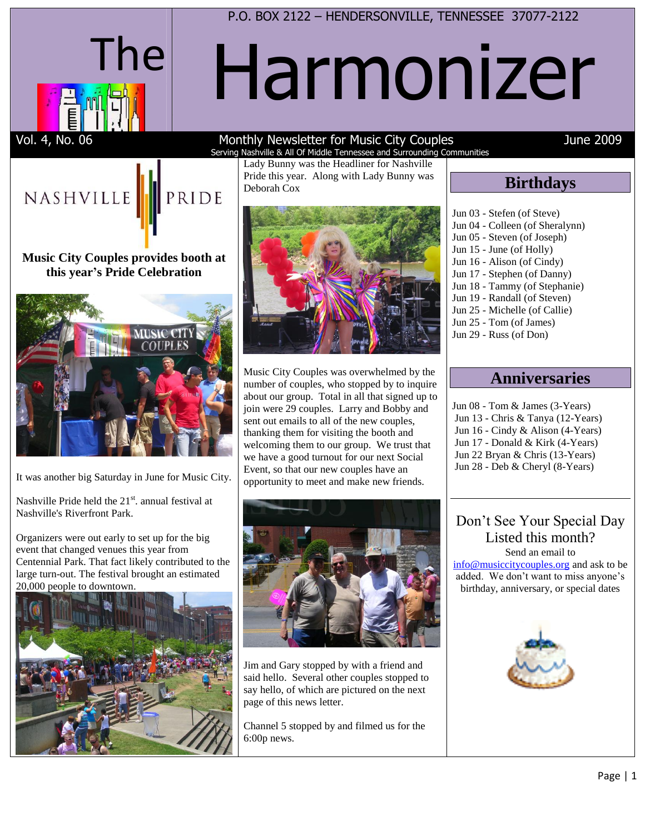

P.O. BOX 2122 – HENDERSONVILLE, TENNESSEE 37077-2122

# Harmonizer

#### Vol. 4, No. 06 The Superson Monthly Newsletter for Music City Couples The Superson Control of the 2009 Serving Nashville & All Of Middle Tennessee and Surrounding Communities

Deborah Cox

Lady Bunny was the Headliner for Nashville Pride this year. Along with Lady Bunny was

## NASHVILLE<sup>1</sup> PRIDE

### **Music City Couples provides booth at this year's Pride Celebration**



It was another big Saturday in June for Music City.

Nashville Pride held the 21<sup>st</sup>. annual festival at Nashville's Riverfront Park.

Organizers were out early to set up for the big event that changed venues this year from Centennial Park. That fact likely contributed to the large turn-out. The festival brought an estimated 20,000 people to downtown.





Music City Couples was overwhelmed by the number of couples, who stopped by to inquire about our group. Total in all that signed up to join were 29 couples. Larry and Bobby and sent out emails to all of the new couples, thanking them for visiting the booth and welcoming them to our group. We trust that we have a good turnout for our next Social Event, so that our new couples have an opportunity to meet and make new friends.



Jim and Gary stopped by with a friend and said hello. Several other couples stopped to say hello, of which are pictured on the next page of this news letter.

Channel 5 stopped by and filmed us for the 6:00p news.

## **Birthdays**

Jun 03 - Stefen (of Steve) Jun 04 - Colleen (of Sheralynn) Jun 05 - Steven (of Joseph) Jun 15 - June (of Holly) Jun 16 - Alison (of Cindy) Jun 17 - Stephen (of Danny) Jun 18 - Tammy (of Stephanie) Jun 19 - Randall (of Steven) Jun 25 - Michelle (of Callie) Jun 25 - Tom (of James) Jun 29 - Russ (of Don)

## **Anniversaries**

Jun 08 - Tom & James (3-Years) Jun 13 - Chris & Tanya (12-Years) Jun 16 - Cindy & Alison (4-Years) Jun 17 - Donald & Kirk (4-Years) Jun 22 Bryan & Chris (13-Years) Jun 28 - Deb & Cheryl (8-Years)

#### Don't See Your Special Day Listed this month? Send an email to

[info@musiccitycouples.org](mailto:info@musiccitycouples.org) and ask to be added. We don't want to miss anyone's birthday, anniversary, or special dates

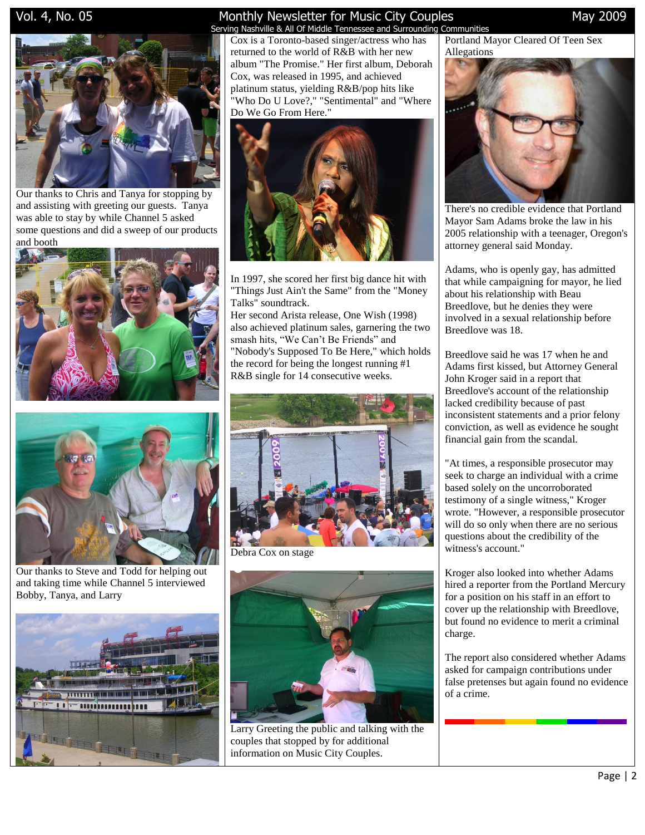

Our thanks to Chris and Tanya for stopping by and assisting with greeting our guests. Tanya was able to stay by while Channel 5 asked some questions and did a sweep of our products and booth





Our thanks to Steve and Todd for helping out and taking time while Channel 5 interviewed Bobby, Tanya, and Larry



### Vol. 4, No. 05 **Monthly Newsletter for Music City Couples** May 2009 May 2009

 Serving Nashville & All Of Middle Tennessee and Surrounding Communities Cox is a Toronto-based singer/actress who has returned to the world of R&B with her new album "The Promise." Her first album, Deborah Cox, was released in 1995, and achieved platinum status, yielding R&B/pop hits like "Who Do U Love?," "Sentimental" and "Where Do We Go From Here."



In 1997, she scored her first big dance hit with "Things Just Ain't the Same" from the "Money Talks" soundtrack.

Her second Arista release, One Wish (1998) also achieved platinum sales, garnering the two smash hits, "We Can't Be Friends" and "Nobody's Supposed To Be Here," which holds the record for being the longest running #1 R&B single for 14 consecutive weeks.



Debra Cox on stage



Larry Greeting the public and talking with the couples that stopped by for additional information on Music City Couples.

Portland Mayor Cleared Of Teen Sex Allegations



There's no credible evidence that Portland Mayor Sam Adams broke the law in his 2005 relationship with a teenager, Oregon's attorney general said Monday.

Adams, who is openly gay, has admitted that while campaigning for mayor, he lied about his relationship with Beau Breedlove, but he denies they were involved in a sexual relationship before Breedlove was 18.

Breedlove said he was 17 when he and Adams first kissed, but Attorney General John Kroger said in a report that Breedlove's account of the relationship lacked credibility because of past inconsistent statements and a prior felony conviction, as well as evidence he sought financial gain from the scandal.

"At times, a responsible prosecutor may seek to charge an individual with a crime based solely on the uncorroborated testimony of a single witness," Kroger wrote. "However, a responsible prosecutor will do so only when there are no serious questions about the credibility of the witness's account."

Kroger also looked into whether Adams hired a reporter from the Portland Mercury for a position on his staff in an effort to cover up the relationship with Breedlove, but found no evidence to merit a criminal charge.

The report also considered whether Adams asked for campaign contributions under false pretenses but again found no evidence of a crime.

Page | 2